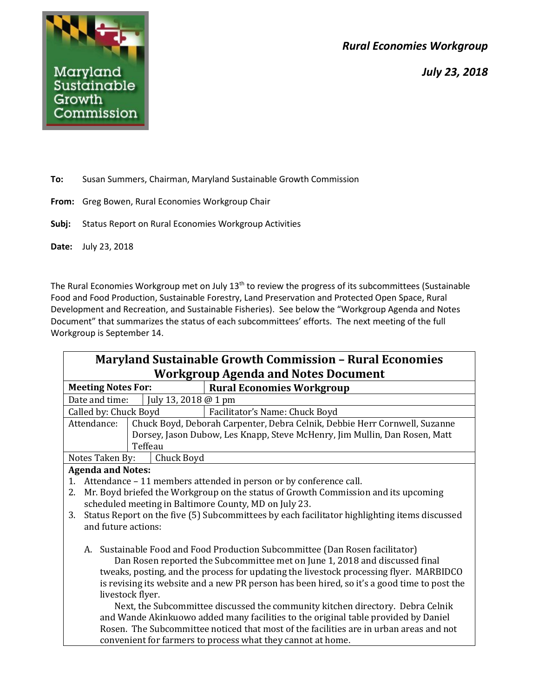*Rural Economies Workgroup*





**To:** Susan Summers, Chairman, Maryland Sustainable Growth Commission

- **From:** Greg Bowen, Rural Economies Workgroup Chair
- **Subj:** Status Report on Rural Economies Workgroup Activities
- **Date:** July 23, 2018

The Rural Economies Workgroup met on July 13<sup>th</sup> to review the progress of its subcommittees (Sustainable Food and Food Production, Sustainable Forestry, Land Preservation and Protected Open Space, Rural Development and Recreation, and Sustainable Fisheries). See below the "Workgroup Agenda and Notes Document" that summarizes the status of each subcommittees' efforts. The next meeting of the full Workgroup is September 14.

| <b>Maryland Sustainable Growth Commission - Rural Economies</b>                                                                                             |  |  |
|-------------------------------------------------------------------------------------------------------------------------------------------------------------|--|--|
| <b>Workgroup Agenda and Notes Document</b>                                                                                                                  |  |  |
| <b>Meeting Notes For:</b><br><b>Rural Economies Workgroup</b>                                                                                               |  |  |
| July 13, 2018 @ 1 pm<br>Date and time:                                                                                                                      |  |  |
| Called by: Chuck Boyd<br>Facilitator's Name: Chuck Boyd                                                                                                     |  |  |
| Attendance:<br>Chuck Boyd, Deborah Carpenter, Debra Celnik, Debbie Herr Cornwell, Suzanne                                                                   |  |  |
| Dorsey, Jason Dubow, Les Knapp, Steve McHenry, Jim Mullin, Dan Rosen, Matt                                                                                  |  |  |
| Teffeau                                                                                                                                                     |  |  |
| Chuck Boyd<br>Notes Taken By:                                                                                                                               |  |  |
| <b>Agenda and Notes:</b>                                                                                                                                    |  |  |
| Attendance – 11 members attended in person or by conference call.<br>1.                                                                                     |  |  |
| Mr. Boyd briefed the Workgroup on the status of Growth Commission and its upcoming<br>2.                                                                    |  |  |
| scheduled meeting in Baltimore County, MD on July 23.                                                                                                       |  |  |
| Status Report on the five (5) Subcommittees by each facilitator highlighting items discussed<br>3.                                                          |  |  |
| and future actions:                                                                                                                                         |  |  |
|                                                                                                                                                             |  |  |
| A. Sustainable Food and Food Production Subcommittee (Dan Rosen facilitator)<br>Dan Rosen reported the Subcommittee met on June 1, 2018 and discussed final |  |  |
| tweaks, posting, and the process for updating the livestock processing flyer. MARBIDCO                                                                      |  |  |
| is revising its website and a new PR person has been hired, so it's a good time to post the                                                                 |  |  |
| livestock flyer.                                                                                                                                            |  |  |
| Next, the Subcommittee discussed the community kitchen directory. Debra Celnik                                                                              |  |  |
| and Wande Akinkuowo added many facilities to the original table provided by Daniel                                                                          |  |  |
| Rosen. The Subcommittee noticed that most of the facilities are in urban areas and not                                                                      |  |  |
| convenient for farmers to process what they cannot at home.                                                                                                 |  |  |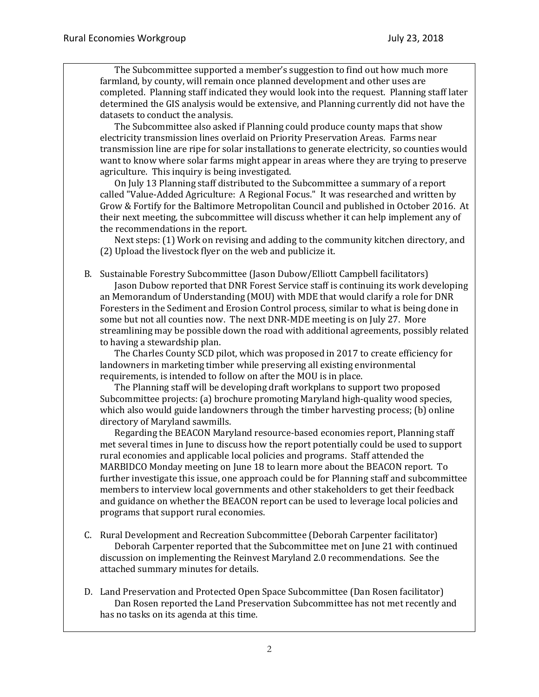The Subcommittee supported a member's suggestion to find out how much more farmland, by county, will remain once planned development and other uses are completed. Planning staff indicated they would look into the request. Planning staff later determined the GIS analysis would be extensive, and Planning currently did not have the datasets to conduct the analysis.

The Subcommittee also asked if Planning could produce county maps that show electricity transmission lines overlaid on Priority Preservation Areas. Farms near transmission line are ripe for solar installations to generate electricity, so counties would want to know where solar farms might appear in areas where they are trying to preserve agriculture. This inquiry is being investigated.

On July 13 Planning staff distributed to the Subcommittee a summary of a report called "Value-Added Agriculture: A Regional Focus." It was researched and written by Grow & Fortify for the Baltimore Metropolitan Council and published in October 2016. At their next meeting, the subcommittee will discuss whether it can help implement any of the recommendations in the report.

Next steps: (1) Work on revising and adding to the community kitchen directory, and (2) Upload the livestock flyer on the web and publicize it.

B. Sustainable Forestry Subcommittee (Jason Dubow/Elliott Campbell facilitators) Jason Dubow reported that DNR Forest Service staff is continuing its work developing an Memorandum of Understanding (MOU) with MDE that would clarify a role for DNR Foresters in the Sediment and Erosion Control process, similar to what is being done in some but not all counties now. The next DNR-MDE meeting is on July 27. More streamlining may be possible down the road with additional agreements, possibly related to having a stewardship plan.

The Charles County SCD pilot, which was proposed in 2017 to create efficiency for landowners in marketing timber while preserving all existing environmental requirements, is intended to follow on after the MOU is in place.

The Planning staff will be developing draft workplans to support two proposed Subcommittee projects: (a) brochure promoting Maryland high-quality wood species, which also would guide landowners through the timber harvesting process; (b) online directory of Maryland sawmills.

Regarding the BEACON Maryland resource-based economies report, Planning staff met several times in June to discuss how the report potentially could be used to support rural economies and applicable local policies and programs. Staff attended the MARBIDCO Monday meeting on June 18 to learn more about the BEACON report. To further investigate this issue, one approach could be for Planning staff and subcommittee members to interview local governments and other stakeholders to get their feedback and guidance on whether the BEACON report can be used to leverage local policies and programs that support rural economies.

- C. Rural Development and Recreation Subcommittee (Deborah Carpenter facilitator) Deborah Carpenter reported that the Subcommittee met on June 21 with continued discussion on implementing the Reinvest Maryland 2.0 recommendations. See the attached summary minutes for details.
- D. Land Preservation and Protected Open Space Subcommittee (Dan Rosen facilitator) Dan Rosen reported the Land Preservation Subcommittee has not met recently and has no tasks on its agenda at this time.